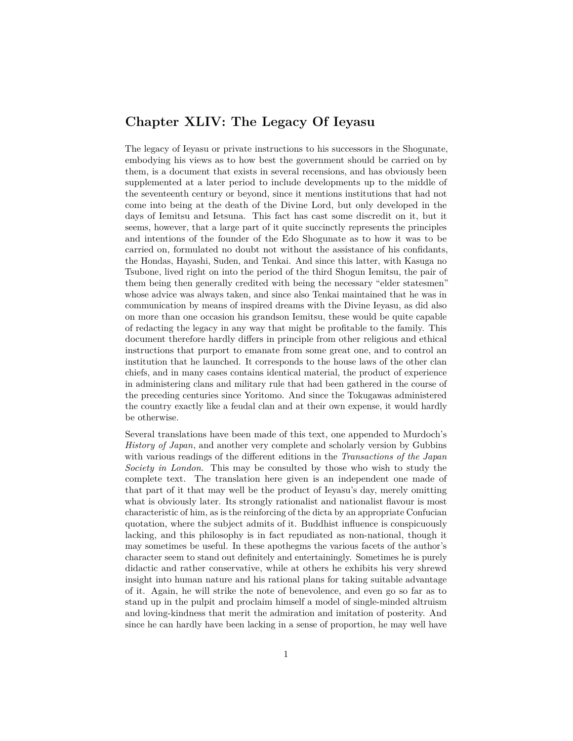## **Chapter XLIV: The Legacy Of Ieyasu**

The legacy of Ieyasu or private instructions to his successors in the Shogunate, embodying his views as to how best the government should be carried on by them, is a document that exists in several recensions, and has obviously been supplemented at a later period to include developments up to the middle of the seventeenth century or beyond, since it mentions institutions that had not come into being at the death of the Divine Lord, but only developed in the days of Iemitsu and Ietsuna. This fact has cast some discredit on it, but it seems, however, that a large part of it quite succinctly represents the principles and intentions of the founder of the Edo Shogunate as to how it was to be carried on, formulated no doubt not without the assistance of his confidants, the Hondas, Hayashi, Suden, and Tenkai. And since this latter, with Kasuga no Tsubone, lived right on into the period of the third Shogun Iemitsu, the pair of them being then generally credited with being the necessary "elder statesmen" whose advice was always taken, and since also Tenkai maintained that he was in communication by means of inspired dreams with the Divine Ieyasu, as did also on more than one occasion his grandson Iemitsu, these would be quite capable of redacting the legacy in any way that might be profitable to the family. This document therefore hardly differs in principle from other religious and ethical instructions that purport to emanate from some great one, and to control an institution that he launched. It corresponds to the house laws of the other clan chiefs, and in many cases contains identical material, the product of experience in administering clans and military rule that had been gathered in the course of the preceding centuries since Yoritomo. And since the Tokugawas administered the country exactly like a feudal clan and at their own expense, it would hardly be otherwise.

Several translations have been made of this text, one appended to Murdoch's *History of Japan*, and another very complete and scholarly version by Gubbins with various readings of the different editions in the *Transactions of the Japan Society in London*. This may be consulted by those who wish to study the complete text. The translation here given is an independent one made of that part of it that may well be the product of Ieyasu's day, merely omitting what is obviously later. Its strongly rationalist and nationalist flavour is most characteristic of him, as is the reinforcing of the dicta by an appropriate Confucian quotation, where the subject admits of it. Buddhist influence is conspicuously lacking, and this philosophy is in fact repudiated as non-national, though it may sometimes be useful. In these apothegms the various facets of the author's character seem to stand out definitely and entertainingly. Sometimes he is purely didactic and rather conservative, while at others he exhibits his very shrewd insight into human nature and his rational plans for taking suitable advantage of it. Again, he will strike the note of benevolence, and even go so far as to stand up in the pulpit and proclaim himself a model of single-minded altruism and loving-kindness that merit the admiration and imitation of posterity. And since he can hardly have been lacking in a sense of proportion, he may well have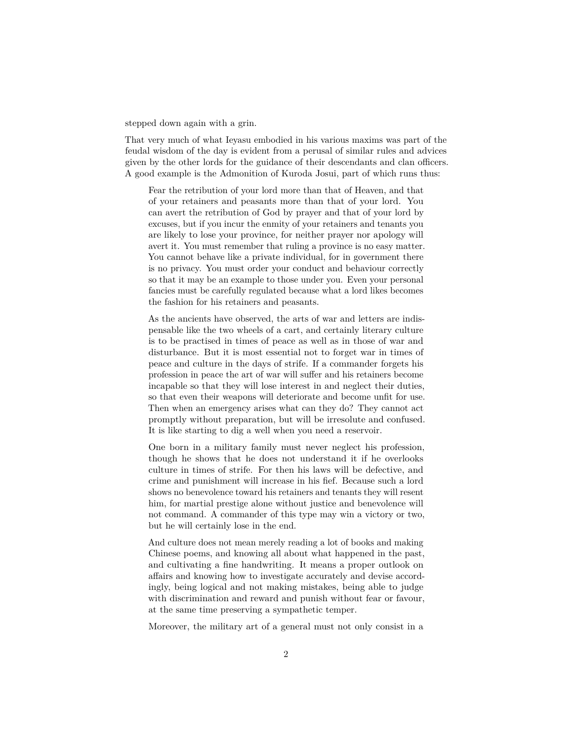stepped down again with a grin.

That very much of what Ieyasu embodied in his various maxims was part of the feudal wisdom of the day is evident from a perusal of similar rules and advices given by the other lords for the guidance of their descendants and clan officers. A good example is the Admonition of Kuroda Josui, part of which runs thus:

Fear the retribution of your lord more than that of Heaven, and that of your retainers and peasants more than that of your lord. You can avert the retribution of God by prayer and that of your lord by excuses, but if you incur the enmity of your retainers and tenants you are likely to lose your province, for neither prayer nor apology will avert it. You must remember that ruling a province is no easy matter. You cannot behave like a private individual, for in government there is no privacy. You must order your conduct and behaviour correctly so that it may be an example to those under you. Even your personal fancies must be carefully regulated because what a lord likes becomes the fashion for his retainers and peasants.

As the ancients have observed, the arts of war and letters are indispensable like the two wheels of a cart, and certainly literary culture is to be practised in times of peace as well as in those of war and disturbance. But it is most essential not to forget war in times of peace and culture in the days of strife. If a commander forgets his profession in peace the art of war will suffer and his retainers become incapable so that they will lose interest in and neglect their duties, so that even their weapons will deteriorate and become unfit for use. Then when an emergency arises what can they do? They cannot act promptly without preparation, but will be irresolute and confused. It is like starting to dig a well when you need a reservoir.

One born in a military family must never neglect his profession, though he shows that he does not understand it if he overlooks culture in times of strife. For then his laws will be defective, and crime and punishment will increase in his fief. Because such a lord shows no benevolence toward his retainers and tenants they will resent him, for martial prestige alone without justice and benevolence will not command. A commander of this type may win a victory or two, but he will certainly lose in the end.

And culture does not mean merely reading a lot of books and making Chinese poems, and knowing all about what happened in the past, and cultivating a fine handwriting. It means a proper outlook on affairs and knowing how to investigate accurately and devise accordingly, being logical and not making mistakes, being able to judge with discrimination and reward and punish without fear or favour, at the same time preserving a sympathetic temper.

Moreover, the military art of a general must not only consist in a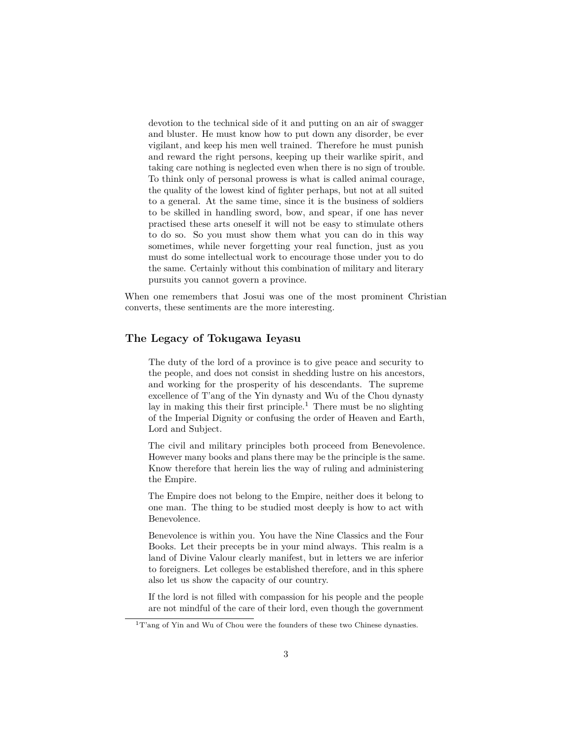devotion to the technical side of it and putting on an air of swagger and bluster. He must know how to put down any disorder, be ever vigilant, and keep his men well trained. Therefore he must punish and reward the right persons, keeping up their warlike spirit, and taking care nothing is neglected even when there is no sign of trouble. To think only of personal prowess is what is called animal courage, the quality of the lowest kind of fighter perhaps, but not at all suited to a general. At the same time, since it is the business of soldiers to be skilled in handling sword, bow, and spear, if one has never practised these arts oneself it will not be easy to stimulate others to do so. So you must show them what you can do in this way sometimes, while never forgetting your real function, just as you must do some intellectual work to encourage those under you to do the same. Certainly without this combination of military and literary pursuits you cannot govern a province.

When one remembers that Josui was one of the most prominent Christian converts, these sentiments are the more interesting.

## **The Legacy of Tokugawa Ieyasu**

The duty of the lord of a province is to give peace and security to the people, and does not consist in shedding lustre on his ancestors, and working for the prosperity of his descendants. The supreme excellence of T'ang of the Yin dynasty and Wu of the Chou dynasty lay in making this their first principle.<sup>1</sup> There must be no slighting of the Imperial Dignity or confusing the order of Heaven and Earth, Lord and Subject.

The civil and military principles both proceed from Benevolence. However many books and plans there may be the principle is the same. Know therefore that herein lies the way of ruling and administering the Empire.

The Empire does not belong to the Empire, neither does it belong to one man. The thing to be studied most deeply is how to act with Benevolence.

Benevolence is within you. You have the Nine Classics and the Four Books. Let their precepts be in your mind always. This realm is a land of Divine Valour clearly manifest, but in letters we are inferior to foreigners. Let colleges be established therefore, and in this sphere also let us show the capacity of our country.

If the lord is not filled with compassion for his people and the people are not mindful of the care of their lord, even though the government

 $1$ <sup>1</sup>T'ang of Yin and Wu of Chou were the founders of these two Chinese dynasties.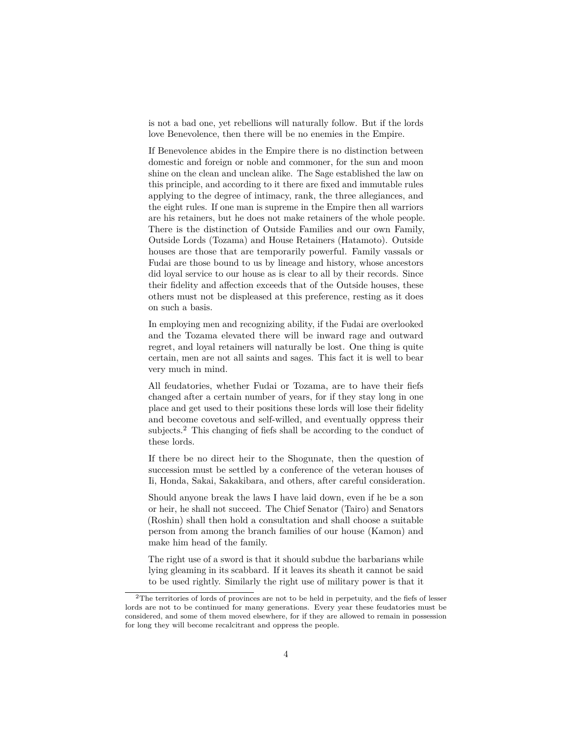is not a bad one, yet rebellions will naturally follow. But if the lords love Benevolence, then there will be no enemies in the Empire.

If Benevolence abides in the Empire there is no distinction between domestic and foreign or noble and commoner, for the sun and moon shine on the clean and unclean alike. The Sage established the law on this principle, and according to it there are fixed and immutable rules applying to the degree of intimacy, rank, the three allegiances, and the eight rules. If one man is supreme in the Empire then all warriors are his retainers, but he does not make retainers of the whole people. There is the distinction of Outside Families and our own Family, Outside Lords (Tozama) and House Retainers (Hatamoto). Outside houses are those that are temporarily powerful. Family vassals or Fudai are those bound to us by lineage and history, whose ancestors did loyal service to our house as is clear to all by their records. Since their fidelity and affection exceeds that of the Outside houses, these others must not be displeased at this preference, resting as it does on such a basis.

In employing men and recognizing ability, if the Fudai are overlooked and the Tozama elevated there will be inward rage and outward regret, and loyal retainers will naturally be lost. One thing is quite certain, men are not all saints and sages. This fact it is well to bear very much in mind.

All feudatories, whether Fudai or Tozama, are to have their fiefs changed after a certain number of years, for if they stay long in one place and get used to their positions these lords will lose their fidelity and become covetous and self-willed, and eventually oppress their subjects.<sup>2</sup> This changing of fiefs shall be according to the conduct of these lords.

If there be no direct heir to the Shogunate, then the question of succession must be settled by a conference of the veteran houses of Ii, Honda, Sakai, Sakakibara, and others, after careful consideration.

Should anyone break the laws I have laid down, even if he be a son or heir, he shall not succeed. The Chief Senator (Tairo) and Senators (Roshin) shall then hold a consultation and shall choose a suitable person from among the branch families of our house (Kamon) and make him head of the family.

The right use of a sword is that it should subdue the barbarians while lying gleaming in its scabbard. If it leaves its sheath it cannot be said to be used rightly. Similarly the right use of military power is that it

<sup>&</sup>lt;sup>2</sup>The territories of lords of provinces are not to be held in perpetuity, and the fiefs of lesser lords are not to be continued for many generations. Every year these feudatories must be considered, and some of them moved elsewhere, for if they are allowed to remain in possession for long they will become recalcitrant and oppress the people.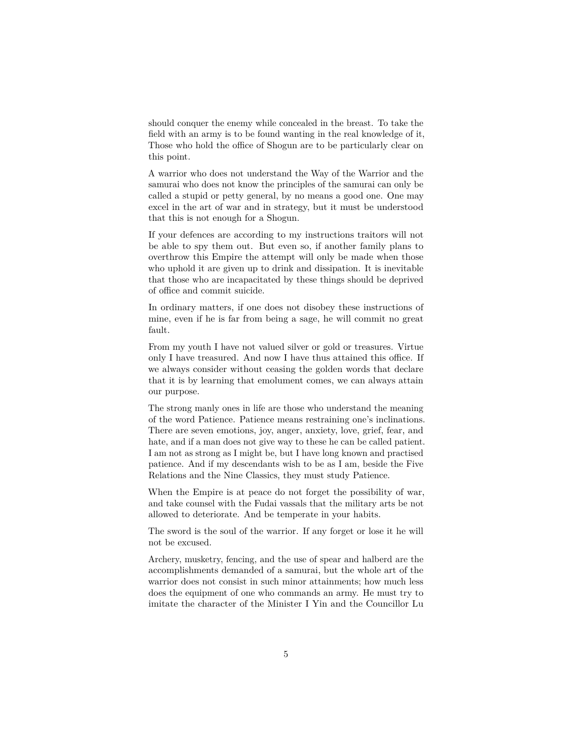should conquer the enemy while concealed in the breast. To take the field with an army is to be found wanting in the real knowledge of it, Those who hold the office of Shogun are to be particularly clear on this point.

A warrior who does not understand the Way of the Warrior and the samurai who does not know the principles of the samurai can only be called a stupid or petty general, by no means a good one. One may excel in the art of war and in strategy, but it must be understood that this is not enough for a Shogun.

If your defences are according to my instructions traitors will not be able to spy them out. But even so, if another family plans to overthrow this Empire the attempt will only be made when those who uphold it are given up to drink and dissipation. It is inevitable that those who are incapacitated by these things should be deprived of office and commit suicide.

In ordinary matters, if one does not disobey these instructions of mine, even if he is far from being a sage, he will commit no great fault.

From my youth I have not valued silver or gold or treasures. Virtue only I have treasured. And now I have thus attained this office. If we always consider without ceasing the golden words that declare that it is by learning that emolument comes, we can always attain our purpose.

The strong manly ones in life are those who understand the meaning of the word Patience. Patience means restraining one's inclinations. There are seven emotions, joy, anger, anxiety, love, grief, fear, and hate, and if a man does not give way to these he can be called patient. I am not as strong as I might be, but I have long known and practised patience. And if my descendants wish to be as I am, beside the Five Relations and the Nine Classics, they must study Patience.

When the Empire is at peace do not forget the possibility of war, and take counsel with the Fudai vassals that the military arts be not allowed to deteriorate. And be temperate in your habits.

The sword is the soul of the warrior. If any forget or lose it he will not be excused.

Archery, musketry, fencing, and the use of spear and halberd are the accomplishments demanded of a samurai, but the whole art of the warrior does not consist in such minor attainments; how much less does the equipment of one who commands an army. He must try to imitate the character of the Minister I Yin and the Councillor Lu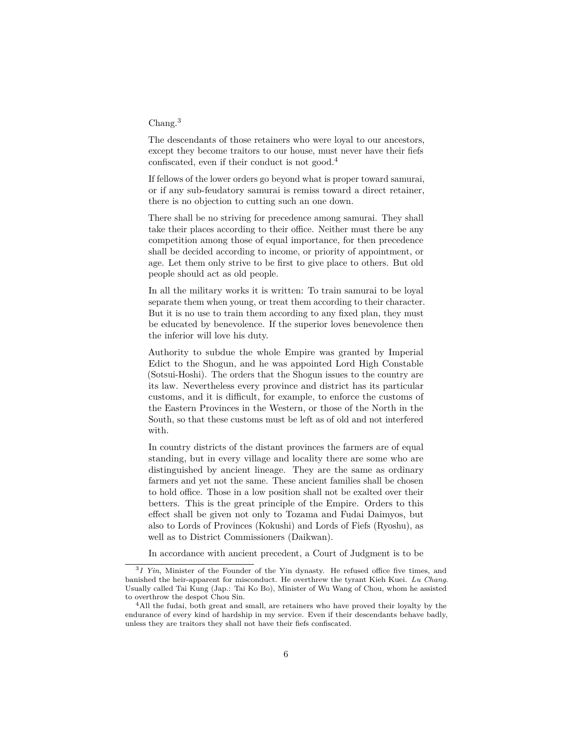## Chang.<sup>3</sup>

The descendants of those retainers who were loyal to our ancestors, except they become traitors to our house, must never have their fiefs confiscated, even if their conduct is not good.<sup>4</sup>

If fellows of the lower orders go beyond what is proper toward samurai, or if any sub-feudatory samurai is remiss toward a direct retainer, there is no objection to cutting such an one down.

There shall be no striving for precedence among samurai. They shall take their places according to their office. Neither must there be any competition among those of equal importance, for then precedence shall be decided according to income, or priority of appointment, or age. Let them only strive to be first to give place to others. But old people should act as old people.

In all the military works it is written: To train samurai to be loyal separate them when young, or treat them according to their character. But it is no use to train them according to any fixed plan, they must be educated by benevolence. If the superior loves benevolence then the inferior will love his duty.

Authority to subdue the whole Empire was granted by Imperial Edict to the Shogun, and he was appointed Lord High Constable (Sotsui-Hoshi). The orders that the Shogun issues to the country are its law. Nevertheless every province and district has its particular customs, and it is difficult, for example, to enforce the customs of the Eastern Provinces in the Western, or those of the North in the South, so that these customs must be left as of old and not interfered with.

In country districts of the distant provinces the farmers are of equal standing, but in every village and locality there are some who are distinguished by ancient lineage. They are the same as ordinary farmers and yet not the same. These ancient families shall be chosen to hold office. Those in a low position shall not be exalted over their betters. This is the great principle of the Empire. Orders to this effect shall be given not only to Tozama and Fudai Daimyos, but also to Lords of Provinces (Kokushi) and Lords of Fiefs (Ryoshu), as well as to District Commissioners (Daikwan).

In accordance with ancient precedent, a Court of Judgment is to be

<sup>&</sup>lt;sup>3</sup>*I Yin*, Minister of the Founder of the Yin dynasty. He refused office five times, and banished the heir-apparent for misconduct. He overthrew the tyrant Kieh Kuei. *Lu Chang*. Usually called Tai Kung (Jap.: Tai Ko Bo), Minister of Wu Wang of Chou, whom he assisted to overthrow the despot Chou Sin.

<sup>4</sup>All the fudai, both great and small, are retainers who have proved their loyalty by the endurance of every kind of hardship in my service. Even if their descendants behave badly, unless they are traitors they shall not have their fiefs confiscated.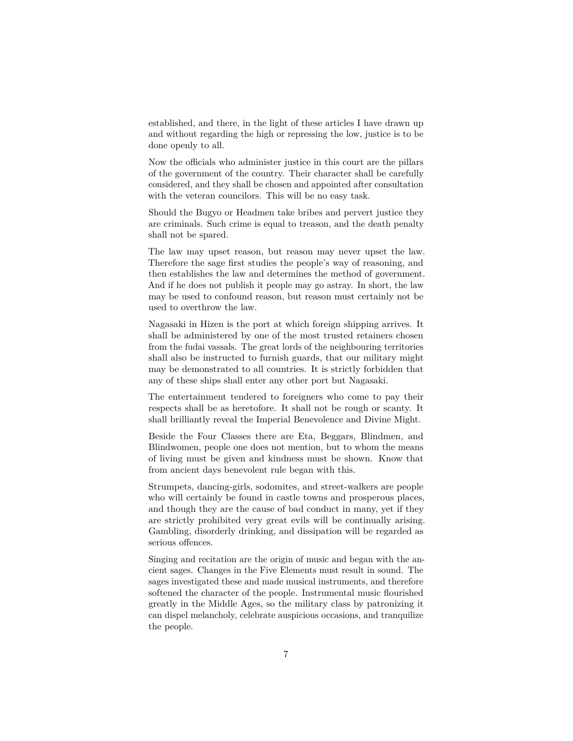established, and there, in the light of these articles I have drawn up and without regarding the high or repressing the low, justice is to be done openly to all.

Now the officials who administer justice in this court are the pillars of the government of the country. Their character shall be carefully considered, and they shall be chosen and appointed after consultation with the veteran councilors. This will be no easy task.

Should the Bugyo or Headmen take bribes and pervert justice they are criminals. Such crime is equal to treason, and the death penalty shall not be spared.

The law may upset reason, but reason may never upset the law. Therefore the sage first studies the people's way of reasoning, and then establishes the law and determines the method of government. And if he does not publish it people may go astray. In short, the law may be used to confound reason, but reason must certainly not be used to overthrow the law.

Nagasaki in Hizen is the port at which foreign shipping arrives. It shall be administered by one of the most trusted retainers chosen from the fudai vassals. The great lords of the neighbouring territories shall also be instructed to furnish guards, that our military might may be demonstrated to all countries. It is strictly forbidden that any of these ships shall enter any other port but Nagasaki.

The entertainment tendered to foreigners who come to pay their respects shall be as heretofore. It shall not be rough or scanty. It shall brilliantly reveal the Imperial Benevolence and Divine Might.

Beside the Four Classes there are Eta, Beggars, Blindmen, and Blindwomen, people one does not mention, but to whom the means of living must be given and kindness must be shown. Know that from ancient days benevolent rule began with this.

Strumpets, dancing-girls, sodomites, and street-walkers are people who will certainly be found in castle towns and prosperous places, and though they are the cause of bad conduct in many, yet if they are strictly prohibited very great evils will be continually arising. Gambling, disorderly drinking, and dissipation will be regarded as serious offences.

Singing and recitation are the origin of music and began with the ancient sages. Changes in the Five Elements must result in sound. The sages investigated these and made musical instruments, and therefore softened the character of the people. Instrumental music flourished greatly in the Middle Ages, so the military class by patronizing it can dispel melancholy, celebrate auspicious occasions, and tranquilize the people.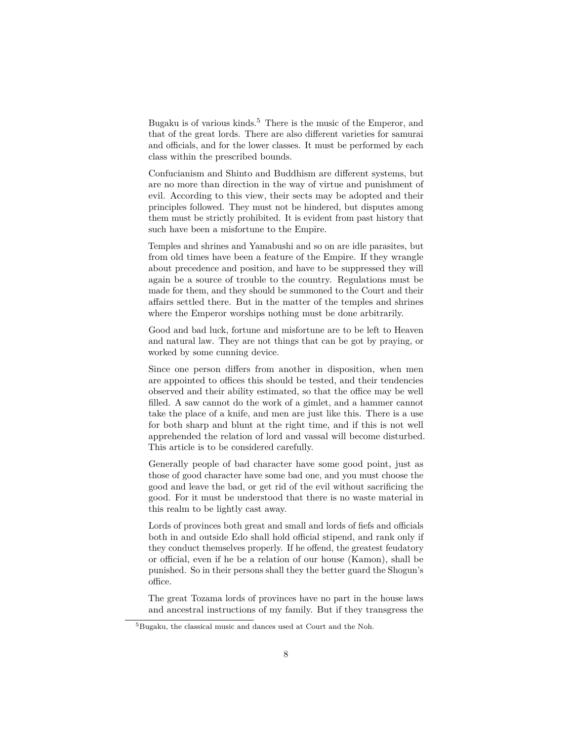Bugaku is of various kinds.<sup>5</sup> There is the music of the Emperor, and that of the great lords. There are also different varieties for samurai and officials, and for the lower classes. It must be performed by each class within the prescribed bounds.

Confucianism and Shinto and Buddhism are different systems, but are no more than direction in the way of virtue and punishment of evil. According to this view, their sects may be adopted and their principles followed. They must not be hindered, but disputes among them must be strictly prohibited. It is evident from past history that such have been a misfortune to the Empire.

Temples and shrines and Yamabushi and so on are idle parasites, but from old times have been a feature of the Empire. If they wrangle about precedence and position, and have to be suppressed they will again be a source of trouble to the country. Regulations must be made for them, and they should be summoned to the Court and their affairs settled there. But in the matter of the temples and shrines where the Emperor worships nothing must be done arbitrarily.

Good and bad luck, fortune and misfortune are to be left to Heaven and natural law. They are not things that can be got by praying, or worked by some cunning device.

Since one person differs from another in disposition, when men are appointed to offices this should be tested, and their tendencies observed and their ability estimated, so that the office may be well filled. A saw cannot do the work of a gimlet, and a hammer cannot take the place of a knife, and men are just like this. There is a use for both sharp and blunt at the right time, and if this is not well apprehended the relation of lord and vassal will become disturbed. This article is to be considered carefully.

Generally people of bad character have some good point, just as those of good character have some bad one, and you must choose the good and leave the bad, or get rid of the evil without sacrificing the good. For it must be understood that there is no waste material in this realm to be lightly cast away.

Lords of provinces both great and small and lords of fiefs and officials both in and outside Edo shall hold official stipend, and rank only if they conduct themselves properly. If he offend, the greatest feudatory or official, even if he be a relation of our house (Kamon), shall be punished. So in their persons shall they the better guard the Shogun's office.

The great Tozama lords of provinces have no part in the house laws and ancestral instructions of my family. But if they transgress the

 ${}^{5}$ Bugaku, the classical music and dances used at Court and the Noh.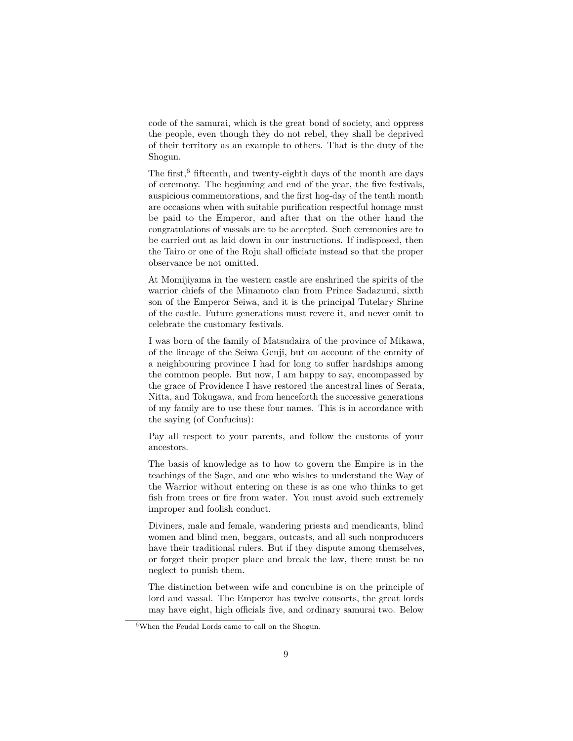code of the samurai, which is the great bond of society, and oppress the people, even though they do not rebel, they shall be deprived of their territory as an example to others. That is the duty of the Shogun.

The first,  $6$  fifteenth, and twenty-eighth days of the month are days of ceremony. The beginning and end of the year, the five festivals, auspicious commemorations, and the first hog-day of the tenth month are occasions when with suitable purification respectful homage must be paid to the Emperor, and after that on the other hand the congratulations of vassals are to be accepted. Such ceremonies are to be carried out as laid down in our instructions. If indisposed, then the Tairo or one of the Roju shall officiate instead so that the proper observance be not omitted.

At Momijiyama in the western castle are enshrined the spirits of the warrior chiefs of the Minamoto clan from Prince Sadazumi, sixth son of the Emperor Seiwa, and it is the principal Tutelary Shrine of the castle. Future generations must revere it, and never omit to celebrate the customary festivals.

I was born of the family of Matsudaira of the province of Mikawa, of the lineage of the Seiwa Genji, but on account of the enmity of a neighbouring province I had for long to suffer hardships among the common people. But now, I am happy to say, encompassed by the grace of Providence I have restored the ancestral lines of Serata, Nitta, and Tokugawa, and from henceforth the successive generations of my family are to use these four names. This is in accordance with the saying (of Confucius):

Pay all respect to your parents, and follow the customs of your ancestors.

The basis of knowledge as to how to govern the Empire is in the teachings of the Sage, and one who wishes to understand the Way of the Warrior without entering on these is as one who thinks to get fish from trees or fire from water. You must avoid such extremely improper and foolish conduct.

Diviners, male and female, wandering priests and mendicants, blind women and blind men, beggars, outcasts, and all such nonproducers have their traditional rulers. But if they dispute among themselves, or forget their proper place and break the law, there must be no neglect to punish them.

The distinction between wife and concubine is on the principle of lord and vassal. The Emperor has twelve consorts, the great lords may have eight, high officials five, and ordinary samurai two. Below

<sup>6</sup>When the Feudal Lords came to call on the Shogun.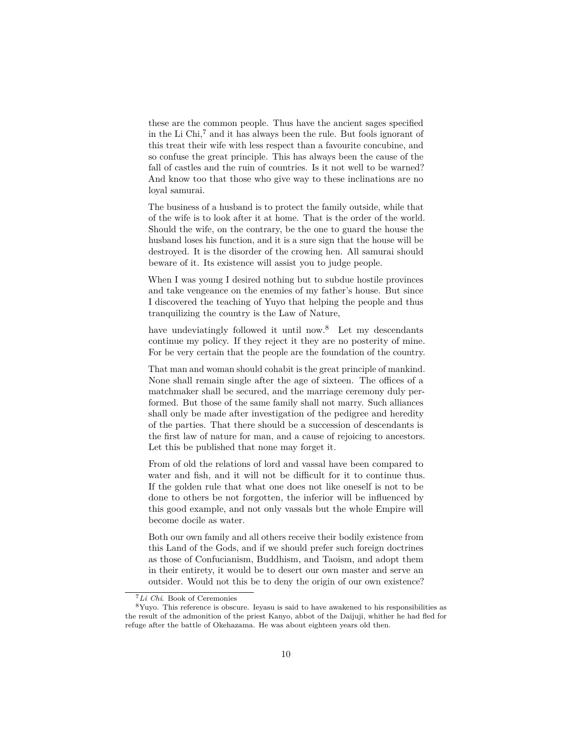these are the common people. Thus have the ancient sages specified in the Li Chi,<sup>7</sup> and it has always been the rule. But fools ignorant of this treat their wife with less respect than a favourite concubine, and so confuse the great principle. This has always been the cause of the fall of castles and the ruin of countries. Is it not well to be warned? And know too that those who give way to these inclinations are no loyal samurai.

The business of a husband is to protect the family outside, while that of the wife is to look after it at home. That is the order of the world. Should the wife, on the contrary, be the one to guard the house the husband loses his function, and it is a sure sign that the house will be destroyed. It is the disorder of the crowing hen. All samurai should beware of it. Its existence will assist you to judge people.

When I was young I desired nothing but to subdue hostile provinces and take vengeance on the enemies of my father's house. But since I discovered the teaching of Yuyo that helping the people and thus tranquilizing the country is the Law of Nature,

have undeviatingly followed it until now.<sup>8</sup> Let my descendants continue my policy. If they reject it they are no posterity of mine. For be very certain that the people are the foundation of the country.

That man and woman should cohabit is the great principle of mankind. None shall remain single after the age of sixteen. The offices of a matchmaker shall be secured, and the marriage ceremony duly performed. But those of the same family shall not marry. Such alliances shall only be made after investigation of the pedigree and heredity of the parties. That there should be a succession of descendants is the first law of nature for man, and a cause of rejoicing to ancestors. Let this be published that none may forget it.

From of old the relations of lord and vassal have been compared to water and fish, and it will not be difficult for it to continue thus. If the golden rule that what one does not like oneself is not to be done to others be not forgotten, the inferior will be influenced by this good example, and not only vassals but the whole Empire will become docile as water.

Both our own family and all others receive their bodily existence from this Land of the Gods, and if we should prefer such foreign doctrines as those of Confucianism, Buddhism, and Taoism, and adopt them in their entirety, it would be to desert our own master and serve an outsider. Would not this be to deny the origin of our own existence?

<sup>7</sup>*Li Chi*. Book of Ceremonies

<sup>&</sup>lt;sup>8</sup>Yuyo. This reference is obscure. Ieyasu is said to have awakened to his responsibilities as the result of the admonition of the priest Kanyo, abbot of the Daijuji, whither he had fled for refuge after the battle of Okehazama. He was about eighteen years old then.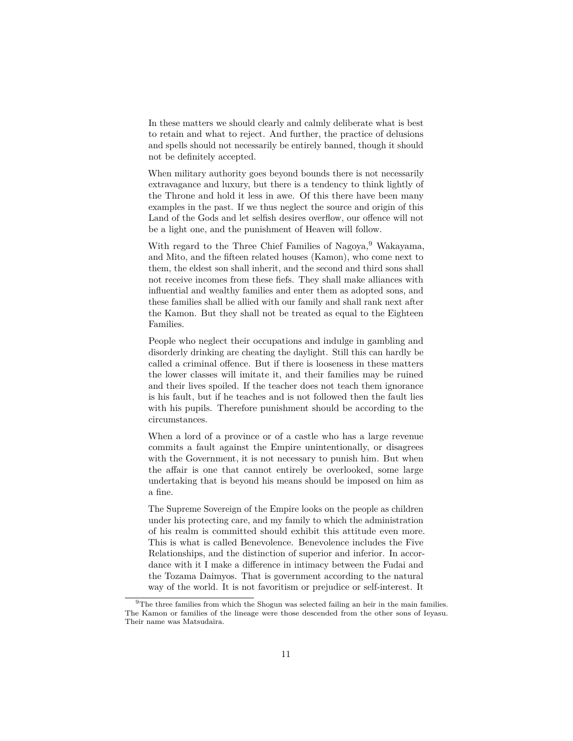In these matters we should clearly and calmly deliberate what is best to retain and what to reject. And further, the practice of delusions and spells should not necessarily be entirely banned, though it should not be definitely accepted.

When military authority goes beyond bounds there is not necessarily extravagance and luxury, but there is a tendency to think lightly of the Throne and hold it less in awe. Of this there have been many examples in the past. If we thus neglect the source and origin of this Land of the Gods and let selfish desires overflow, our offence will not be a light one, and the punishment of Heaven will follow.

With regard to the Three Chief Families of Nagoya,  $9$  Wakayama, and Mito, and the fifteen related houses (Kamon), who come next to them, the eldest son shall inherit, and the second and third sons shall not receive incomes from these fiefs. They shall make alliances with influential and wealthy families and enter them as adopted sons, and these families shall be allied with our family and shall rank next after the Kamon. But they shall not be treated as equal to the Eighteen Families.

People who neglect their occupations and indulge in gambling and disorderly drinking are cheating the daylight. Still this can hardly be called a criminal offence. But if there is looseness in these matters the lower classes will imitate it, and their families may be ruined and their lives spoiled. If the teacher does not teach them ignorance is his fault, but if he teaches and is not followed then the fault lies with his pupils. Therefore punishment should be according to the circumstances.

When a lord of a province or of a castle who has a large revenue commits a fault against the Empire unintentionally, or disagrees with the Government, it is not necessary to punish him. But when the affair is one that cannot entirely be overlooked, some large undertaking that is beyond his means should be imposed on him as a fine.

The Supreme Sovereign of the Empire looks on the people as children under his protecting care, and my family to which the administration of his realm is committed should exhibit this attitude even more. This is what is called Benevolence. Benevolence includes the Five Relationships, and the distinction of superior and inferior. In accordance with it I make a difference in intimacy between the Fudai and the Tozama Daimyos. That is government according to the natural way of the world. It is not favoritism or prejudice or self-interest. It

<sup>9</sup>The three families from which the Shogun was selected failing an heir in the main families. The Kamon or families of the lineage were those descended from the other sons of Ieyasu. Their name was Matsudaira.